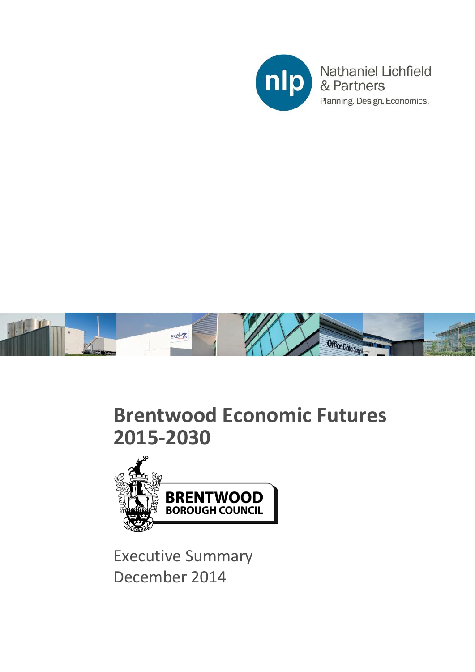



## **Brentwood Economic Futures 2015-2030**



Executive Summary December 2014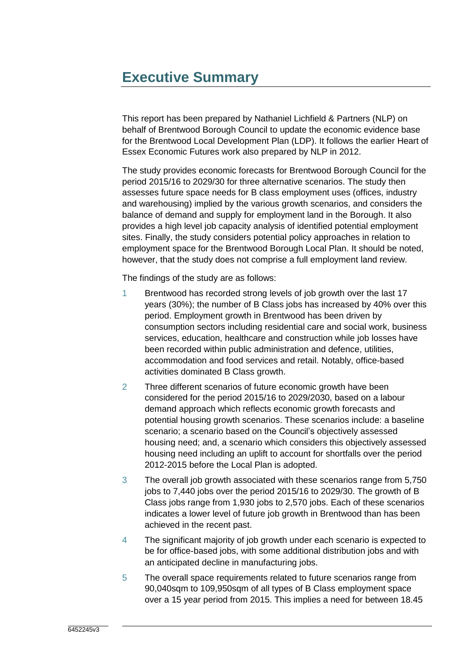## **Executive Summary**

This report has been prepared by Nathaniel Lichfield & Partners (NLP) on behalf of Brentwood Borough Council to update the economic evidence base for the Brentwood Local Development Plan (LDP). It follows the earlier Heart of Essex Economic Futures work also prepared by NLP in 2012.

The study provides economic forecasts for Brentwood Borough Council for the period 2015/16 to 2029/30 for three alternative scenarios. The study then assesses future space needs for B class employment uses (offices, industry and warehousing) implied by the various growth scenarios, and considers the balance of demand and supply for employment land in the Borough. It also provides a high level job capacity analysis of identified potential employment sites. Finally, the study considers potential policy approaches in relation to employment space for the Brentwood Borough Local Plan. It should be noted, however, that the study does not comprise a full employment land review.

The findings of the study are as follows:

- 1 Brentwood has recorded strong levels of job growth over the last 17 years (30%); the number of B Class jobs has increased by 40% over this period. Employment growth in Brentwood has been driven by consumption sectors including residential care and social work, business services, education, healthcare and construction while job losses have been recorded within public administration and defence, utilities, accommodation and food services and retail. Notably, office-based activities dominated B Class growth.
- 2 Three different scenarios of future economic growth have been considered for the period 2015/16 to 2029/2030, based on a labour demand approach which reflects economic growth forecasts and potential housing growth scenarios. These scenarios include: a baseline scenario; a scenario based on the Council's objectively assessed housing need; and, a scenario which considers this objectively assessed housing need including an uplift to account for shortfalls over the period 2012-2015 before the Local Plan is adopted.
- 3 The overall job growth associated with these scenarios range from 5,750 jobs to 7,440 jobs over the period 2015/16 to 2029/30. The growth of B Class jobs range from 1,930 jobs to 2,570 jobs. Each of these scenarios indicates a lower level of future job growth in Brentwood than has been achieved in the recent past.
- 4 The significant majority of job growth under each scenario is expected to be for office-based jobs, with some additional distribution jobs and with an anticipated decline in manufacturing jobs.
- 5 The overall space requirements related to future scenarios range from 90,040sqm to 109,950sqm of all types of B Class employment space over a 15 year period from 2015. This implies a need for between 18.45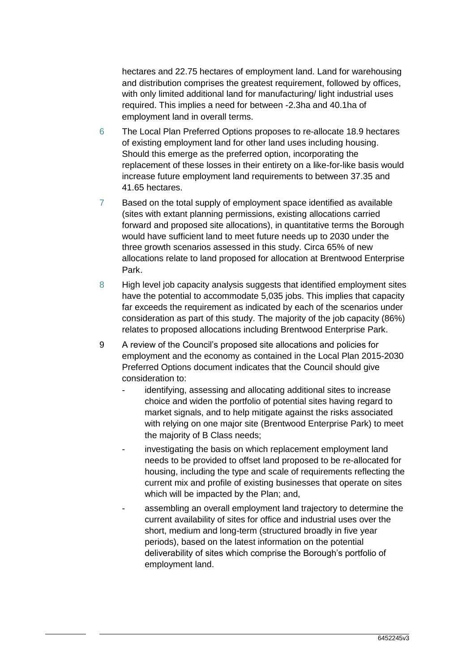hectares and 22.75 hectares of employment land. Land for warehousing and distribution comprises the greatest requirement, followed by offices, with only limited additional land for manufacturing/ light industrial uses required. This implies a need for between -2.3ha and 40.1ha of employment land in overall terms.

- 6 The Local Plan Preferred Options proposes to re-allocate 18.9 hectares of existing employment land for other land uses including housing. Should this emerge as the preferred option, incorporating the replacement of these losses in their entirety on a like-for-like basis would increase future employment land requirements to between 37.35 and 41.65 hectares.
- 7 Based on the total supply of employment space identified as available (sites with extant planning permissions, existing allocations carried forward and proposed site allocations), in quantitative terms the Borough would have sufficient land to meet future needs up to 2030 under the three growth scenarios assessed in this study. Circa 65% of new allocations relate to land proposed for allocation at Brentwood Enterprise Park.
- 8 High level job capacity analysis suggests that identified employment sites have the potential to accommodate 5,035 jobs. This implies that capacity far exceeds the requirement as indicated by each of the scenarios under consideration as part of this study. The majority of the job capacity (86%) relates to proposed allocations including Brentwood Enterprise Park.
- 9 A review of the Council's proposed site allocations and policies for employment and the economy as contained in the Local Plan 2015-2030 Preferred Options document indicates that the Council should give consideration to:
	- identifying, assessing and allocating additional sites to increase choice and widen the portfolio of potential sites having regard to market signals, and to help mitigate against the risks associated with relying on one major site (Brentwood Enterprise Park) to meet the majority of B Class needs;
	- investigating the basis on which replacement employment land needs to be provided to offset land proposed to be re-allocated for housing, including the type and scale of requirements reflecting the current mix and profile of existing businesses that operate on sites which will be impacted by the Plan; and,
	- assembling an overall employment land trajectory to determine the current availability of sites for office and industrial uses over the short, medium and long-term (structured broadly in five year periods), based on the latest information on the potential deliverability of sites which comprise the Borough's portfolio of employment land.